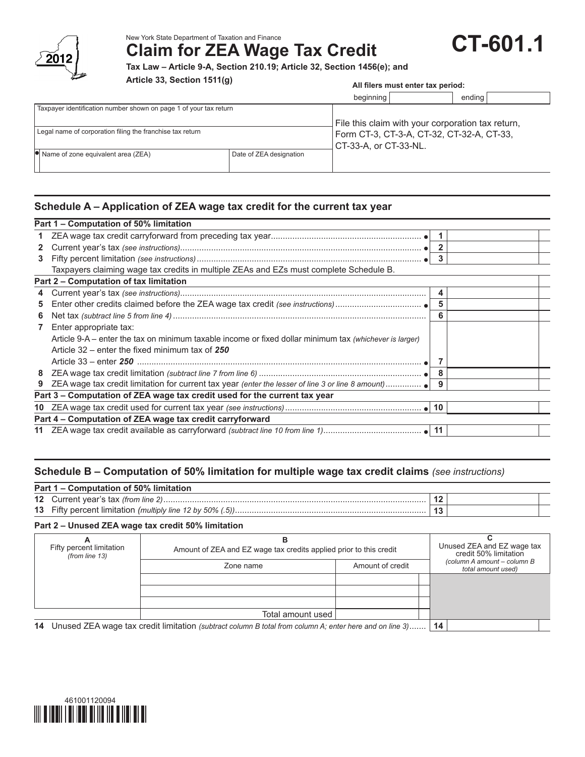

New York State Department of Taxation and Finance

**Claim for ZEA Wage Tax Credit**

**Tax Law – Article 9-A, Section 210.19; Article 32, Section 1456(e); and**

**Article 33, Section 1511(g)**

# **All filers must enter tax period:**

**CT-601.1**

|                                                                   |                         | beginning                                                                                                               | ending |  |  |
|-------------------------------------------------------------------|-------------------------|-------------------------------------------------------------------------------------------------------------------------|--------|--|--|
| Taxpayer identification number shown on page 1 of your tax return |                         |                                                                                                                         |        |  |  |
| Legal name of corporation filing the franchise tax return         |                         | File this claim with your corporation tax return,<br>Form CT-3, CT-3-A, CT-32, CT-32-A, CT-33,<br>CT-33-A, or CT-33-NL. |        |  |  |
| $\bullet$ Name of zone equivalent area (ZEA)                      | Date of ZEA designation |                                                                                                                         |        |  |  |

# **Schedule A – Application of ZEA wage tax credit for the current tax year**

|              | Part 1 – Computation of 50% limitation                                                                  |  |                |  |  |  |
|--------------|---------------------------------------------------------------------------------------------------------|--|----------------|--|--|--|
| $\mathbf{1}$ |                                                                                                         |  |                |  |  |  |
| $\mathbf{2}$ |                                                                                                         |  | $\overline{2}$ |  |  |  |
| 3            |                                                                                                         |  | 3              |  |  |  |
|              | Taxpayers claiming wage tax credits in multiple ZEAs and EZs must complete Schedule B.                  |  |                |  |  |  |
|              | Part 2 – Computation of tax limitation                                                                  |  |                |  |  |  |
| 4            |                                                                                                         |  | 4              |  |  |  |
| 5.           |                                                                                                         |  | 5              |  |  |  |
| 6            |                                                                                                         |  | 6              |  |  |  |
| $\mathbf{7}$ | Enter appropriate tax:                                                                                  |  |                |  |  |  |
|              | Article 9-A – enter the tax on minimum taxable income or fixed dollar minimum tax (whichever is larger) |  |                |  |  |  |
|              | Article 32 – enter the fixed minimum tax of 250                                                         |  |                |  |  |  |
|              |                                                                                                         |  |                |  |  |  |
|              |                                                                                                         |  |                |  |  |  |
| 9            |                                                                                                         |  |                |  |  |  |
|              | Part 3 - Computation of ZEA wage tax credit used for the current tax year                               |  |                |  |  |  |
|              |                                                                                                         |  |                |  |  |  |
|              | Part 4 – Computation of ZEA wage tax credit carryforward                                                |  |                |  |  |  |
|              |                                                                                                         |  |                |  |  |  |
|              |                                                                                                         |  |                |  |  |  |

# **Schedule B – Computation of 50% limitation for multiple wage tax credit claims** *(see instructions)*

| Part 1 – Computation of 50% limitation |  |  |  |  |  |
|----------------------------------------|--|--|--|--|--|
|                                        |  |  |  |  |  |
|                                        |  |  |  |  |  |

#### **Part 2 – Unused ZEA wage tax credit 50% limitation**

| Fifty percent limitation<br>(from line $13$ )                                                                 | Amount of ZEA and EZ wage tax credits applied prior to this credit |                  |  | Unused ZEA and EZ wage tax<br>credit 50% limitation |
|---------------------------------------------------------------------------------------------------------------|--------------------------------------------------------------------|------------------|--|-----------------------------------------------------|
|                                                                                                               | Zone name                                                          | Amount of credit |  | (column A amount - column B<br>total amount used)   |
|                                                                                                               |                                                                    |                  |  |                                                     |
|                                                                                                               |                                                                    |                  |  |                                                     |
|                                                                                                               | Total amount used                                                  |                  |  |                                                     |
| Unused ZEA wage tax credit limitation (subtract column B total from column A; enter here and on line 3)<br>14 |                                                                    |                  |  |                                                     |